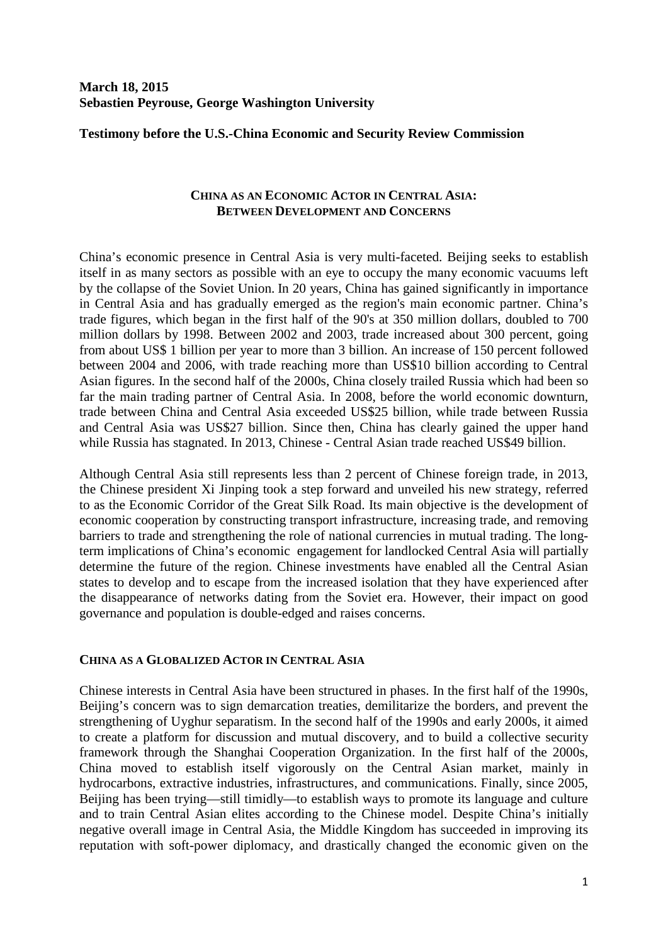# **March 18, 2015 Sebastien Peyrouse, George Washington University**

**Testimony before the U.S.-China Economic and Security Review Commission**

### **CHINA AS AN ECONOMIC ACTOR IN CENTRAL ASIA: BETWEEN DEVELOPMENT AND CONCERNS**

China's economic presence in Central Asia is very multi-faceted. Beijing seeks to establish itself in as many sectors as possible with an eye to occupy the many economic vacuums left by the collapse of the Soviet Union. In 20 years, China has gained significantly in importance in Central Asia and has gradually emerged as the region's main economic partner. China's trade figures, which began in the first half of the 90's at 350 million dollars, doubled to 700 million dollars by 1998. Between 2002 and 2003, trade increased about 300 percent, going from about US\$ 1 billion per year to more than 3 billion. An increase of 150 percent followed between 2004 and 2006, with trade reaching more than US\$10 billion according to Central Asian figures. In the second half of the 2000s, China closely trailed Russia which had been so far the main trading partner of Central Asia. In 2008, before the world economic downturn, trade between China and Central Asia exceeded US\$25 billion, while trade between Russia and Central Asia was US\$27 billion. Since then, China has clearly gained the upper hand while Russia has stagnated. In 2013, Chinese - Central Asian trade reached US\$49 billion.

Although Central Asia still represents less than 2 percent of Chinese foreign trade, in 2013, the Chinese president Xi Jinping took a step forward and unveiled his new strategy, referred to as the Economic Corridor of the Great Silk Road. Its main objective is the development of economic cooperation by constructing transport infrastructure, increasing trade, and removing barriers to trade and strengthening the role of national currencies in mutual trading. The longterm implications of China's economic engagement for landlocked Central Asia will partially determine the future of the region. Chinese investments have enabled all the Central Asian states to develop and to escape from the increased isolation that they have experienced after the disappearance of networks dating from the Soviet era. However, their impact on good governance and population is double-edged and raises concerns.

### **CHINA AS A GLOBALIZED ACTOR IN CENTRAL ASIA**

Chinese interests in Central Asia have been structured in phases. In the first half of the 1990s, Beijing's concern was to sign demarcation treaties, demilitarize the borders, and prevent the strengthening of Uyghur separatism. In the second half of the 1990s and early 2000s, it aimed to create a platform for discussion and mutual discovery, and to build a collective security framework through the Shanghai Cooperation Organization. In the first half of the 2000s, China moved to establish itself vigorously on the Central Asian market, mainly in hydrocarbons, extractive industries, infrastructures, and communications. Finally, since 2005, Beijing has been trying—still timidly—to establish ways to promote its language and culture and to train Central Asian elites according to the Chinese model. Despite China's initially negative overall image in Central Asia, the Middle Kingdom has succeeded in improving its reputation with soft-power diplomacy, and drastically changed the economic given on the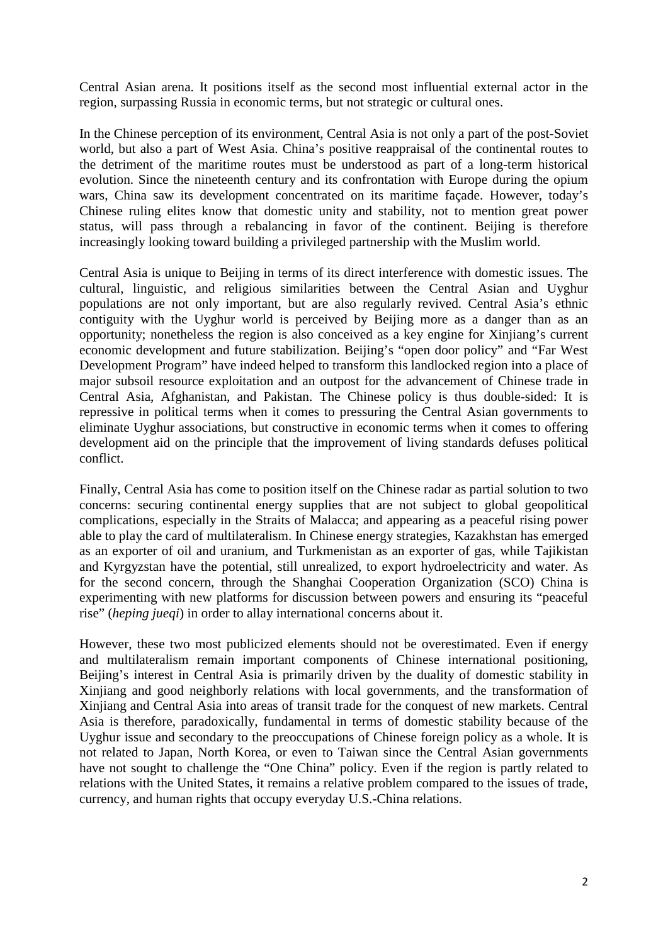Central Asian arena. It positions itself as the second most influential external actor in the region, surpassing Russia in economic terms, but not strategic or cultural ones.

In the Chinese perception of its environment, Central Asia is not only a part of the post-Soviet world, but also a part of West Asia. China's positive reappraisal of the continental routes to the detriment of the maritime routes must be understood as part of a long-term historical evolution. Since the nineteenth century and its confrontation with Europe during the opium wars, China saw its development concentrated on its maritime façade. However, today's Chinese ruling elites know that domestic unity and stability, not to mention great power status, will pass through a rebalancing in favor of the continent. Beijing is therefore increasingly looking toward building a privileged partnership with the Muslim world.

Central Asia is unique to Beijing in terms of its direct interference with domestic issues. The cultural, linguistic, and religious similarities between the Central Asian and Uyghur populations are not only important, but are also regularly revived. Central Asia's ethnic contiguity with the Uyghur world is perceived by Beijing more as a danger than as an opportunity; nonetheless the region is also conceived as a key engine for Xinjiang's current economic development and future stabilization. Beijing's "open door policy" and "Far West Development Program" have indeed helped to transform this landlocked region into a place of major subsoil resource exploitation and an outpost for the advancement of Chinese trade in Central Asia, Afghanistan, and Pakistan. The Chinese policy is thus double-sided: It is repressive in political terms when it comes to pressuring the Central Asian governments to eliminate Uyghur associations, but constructive in economic terms when it comes to offering development aid on the principle that the improvement of living standards defuses political conflict.

Finally, Central Asia has come to position itself on the Chinese radar as partial solution to two concerns: securing continental energy supplies that are not subject to global geopolitical complications, especially in the Straits of Malacca; and appearing as a peaceful rising power able to play the card of multilateralism. In Chinese energy strategies, Kazakhstan has emerged as an exporter of oil and uranium, and Turkmenistan as an exporter of gas, while Tajikistan and Kyrgyzstan have the potential, still unrealized, to export hydroelectricity and water. As for the second concern, through the Shanghai Cooperation Organization (SCO) China is experimenting with new platforms for discussion between powers and ensuring its "peaceful rise" (*heping jueqi*) in order to allay international concerns about it.

However, these two most publicized elements should not be overestimated. Even if energy and multilateralism remain important components of Chinese international positioning, Beijing's interest in Central Asia is primarily driven by the duality of domestic stability in Xinjiang and good neighborly relations with local governments, and the transformation of Xinjiang and Central Asia into areas of transit trade for the conquest of new markets. Central Asia is therefore, paradoxically, fundamental in terms of domestic stability because of the Uyghur issue and secondary to the preoccupations of Chinese foreign policy as a whole. It is not related to Japan, North Korea, or even to Taiwan since the Central Asian governments have not sought to challenge the "One China" policy. Even if the region is partly related to relations with the United States, it remains a relative problem compared to the issues of trade, currency, and human rights that occupy everyday U.S.-China relations.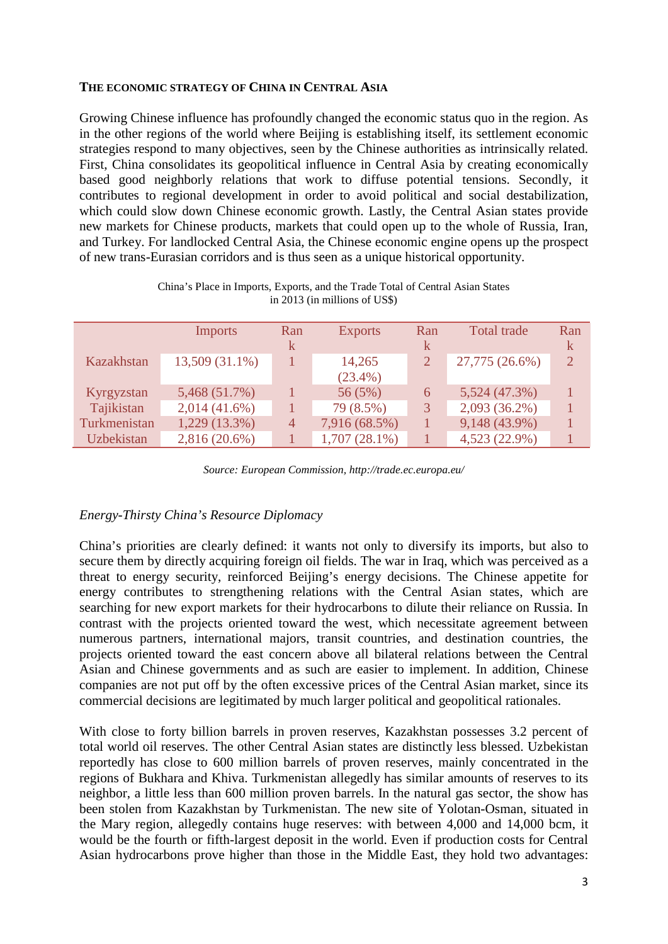### **THE ECONOMIC STRATEGY OF CHINA IN CENTRAL ASIA**

Growing Chinese influence has profoundly changed the economic status quo in the region. As in the other regions of the world where Beijing is establishing itself, its settlement economic strategies respond to many objectives, seen by the Chinese authorities as intrinsically related. First, China consolidates its geopolitical influence in Central Asia by creating economically based good neighborly relations that work to diffuse potential tensions. Secondly, it contributes to regional development in order to avoid political and social destabilization, which could slow down Chinese economic growth. Lastly, the Central Asian states provide new markets for Chinese products, markets that could open up to the whole of Russia, Iran, and Turkey. For landlocked Central Asia, the Chinese economic engine opens up the prospect of new trans-Eurasian corridors and is thus seen as a unique historical opportunity.

|                   | <b>Imports</b>  | Ran | <b>Exports</b>  | Ran | Total trade     | Ran |
|-------------------|-----------------|-----|-----------------|-----|-----------------|-----|
|                   |                 | k.  |                 | k   |                 | k   |
| Kazakhstan        | 13,509 (31.1%)  |     | 14,265          |     | 27,775 (26.6%)  | 2   |
|                   |                 |     | $(23.4\%)$      |     |                 |     |
| Kyrgyzstan        | 5,468 (51.7%)   |     | 56 (5%)         | 6   | 5,524 (47.3%)   | 1   |
| Tajikistan        | $2,014(41.6\%)$ |     | 79 (8.5%)       |     | $2,093(36.2\%)$ |     |
| Turkmenistan      | 1,229 (13.3%)   | 4   | 7,916 (68.5%)   |     | 9,148 (43.9%)   |     |
| <b>Uzbekistan</b> | $2,816(20.6\%)$ |     | $1,707(28.1\%)$ |     | 4,523 (22.9%)   |     |

China's Place in Imports, Exports, and the Trade Total of Central Asian States in 2013 (in millions of US\$)

*Source: European Commission, http://trade.ec.europa.eu/*

## *Energy-Thirsty China's Resource Diplomacy*

China's priorities are clearly defined: it wants not only to diversify its imports, but also to secure them by directly acquiring foreign oil fields. The war in Iraq, which was perceived as a threat to energy security, reinforced Beijing's energy decisions. The Chinese appetite for energy contributes to strengthening relations with the Central Asian states, which are searching for new export markets for their hydrocarbons to dilute their reliance on Russia. In contrast with the projects oriented toward the west, which necessitate agreement between numerous partners, international majors, transit countries, and destination countries, the projects oriented toward the east concern above all bilateral relations between the Central Asian and Chinese governments and as such are easier to implement. In addition, Chinese companies are not put off by the often excessive prices of the Central Asian market, since its commercial decisions are legitimated by much larger political and geopolitical rationales.

With close to forty billion barrels in proven reserves, Kazakhstan possesses 3.2 percent of total world oil reserves. The other Central Asian states are distinctly less blessed. Uzbekistan reportedly has close to 600 million barrels of proven reserves, mainly concentrated in the regions of Bukhara and Khiva. Turkmenistan allegedly has similar amounts of reserves to its neighbor, a little less than 600 million proven barrels. In the natural gas sector, the show has been stolen from Kazakhstan by Turkmenistan. The new site of Yolotan-Osman, situated in the Mary region, allegedly contains huge reserves: with between 4,000 and 14,000 bcm, it would be the fourth or fifth-largest deposit in the world. Even if production costs for Central Asian hydrocarbons prove higher than those in the Middle East, they hold two advantages: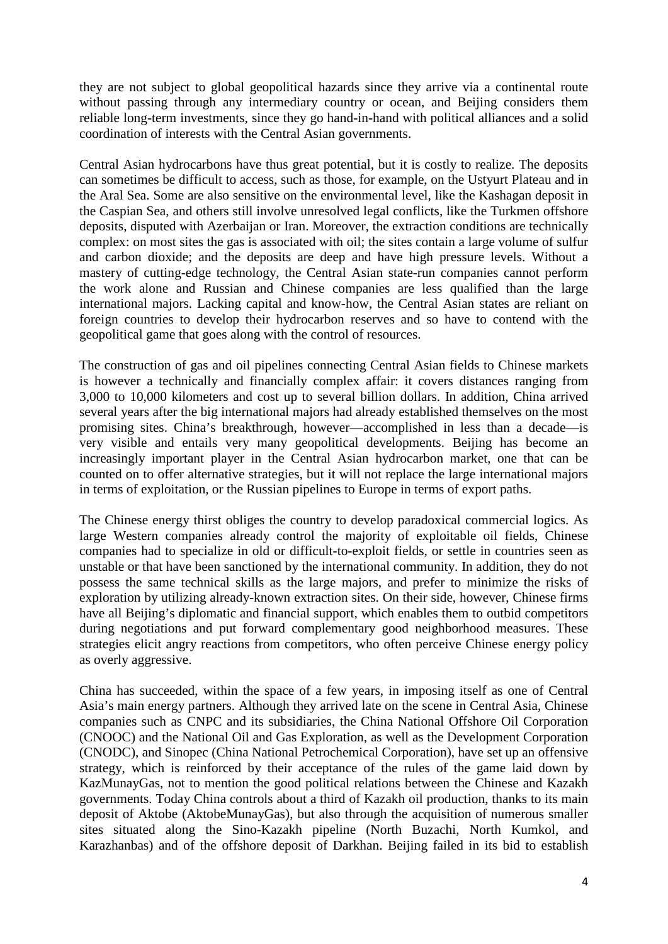they are not subject to global geopolitical hazards since they arrive via a continental route without passing through any intermediary country or ocean, and Beijing considers them reliable long-term investments, since they go hand-in-hand with political alliances and a solid coordination of interests with the Central Asian governments.

Central Asian hydrocarbons have thus great potential, but it is costly to realize. The deposits can sometimes be difficult to access, such as those, for example, on the Ustyurt Plateau and in the Aral Sea. Some are also sensitive on the environmental level, like the Kashagan deposit in the Caspian Sea, and others still involve unresolved legal conflicts, like the Turkmen offshore deposits, disputed with Azerbaijan or Iran. Moreover, the extraction conditions are technically complex: on most sites the gas is associated with oil; the sites contain a large volume of sulfur and carbon dioxide; and the deposits are deep and have high pressure levels. Without a mastery of cutting-edge technology, the Central Asian state-run companies cannot perform the work alone and Russian and Chinese companies are less qualified than the large international majors. Lacking capital and know-how, the Central Asian states are reliant on foreign countries to develop their hydrocarbon reserves and so have to contend with the geopolitical game that goes along with the control of resources.

The construction of gas and oil pipelines connecting Central Asian fields to Chinese markets is however a technically and financially complex affair: it covers distances ranging from 3,000 to 10,000 kilometers and cost up to several billion dollars. In addition, China arrived several years after the big international majors had already established themselves on the most promising sites. China's breakthrough, however—accomplished in less than a decade—is very visible and entails very many geopolitical developments. Beijing has become an increasingly important player in the Central Asian hydrocarbon market, one that can be counted on to offer alternative strategies, but it will not replace the large international majors in terms of exploitation, or the Russian pipelines to Europe in terms of export paths.

The Chinese energy thirst obliges the country to develop paradoxical commercial logics. As large Western companies already control the majority of exploitable oil fields, Chinese companies had to specialize in old or difficult-to-exploit fields, or settle in countries seen as unstable or that have been sanctioned by the international community. In addition, they do not possess the same technical skills as the large majors, and prefer to minimize the risks of exploration by utilizing already-known extraction sites. On their side, however, Chinese firms have all Beijing's diplomatic and financial support, which enables them to outbid competitors during negotiations and put forward complementary good neighborhood measures. These strategies elicit angry reactions from competitors, who often perceive Chinese energy policy as overly aggressive.

China has succeeded, within the space of a few years, in imposing itself as one of Central Asia's main energy partners. Although they arrived late on the scene in Central Asia, Chinese companies such as CNPC and its subsidiaries, the China National Offshore Oil Corporation (CNOOC) and the National Oil and Gas Exploration, as well as the Development Corporation (CNODC), and Sinopec (China National Petrochemical Corporation), have set up an offensive strategy, which is reinforced by their acceptance of the rules of the game laid down by KazMunayGas, not to mention the good political relations between the Chinese and Kazakh governments. Today China controls about a third of Kazakh oil production, thanks to its main deposit of Aktobe (AktobeMunayGas), but also through the acquisition of numerous smaller sites situated along the Sino-Kazakh pipeline (North Buzachi, North Kumkol, and Karazhanbas) and of the offshore deposit of Darkhan. Beijing failed in its bid to establish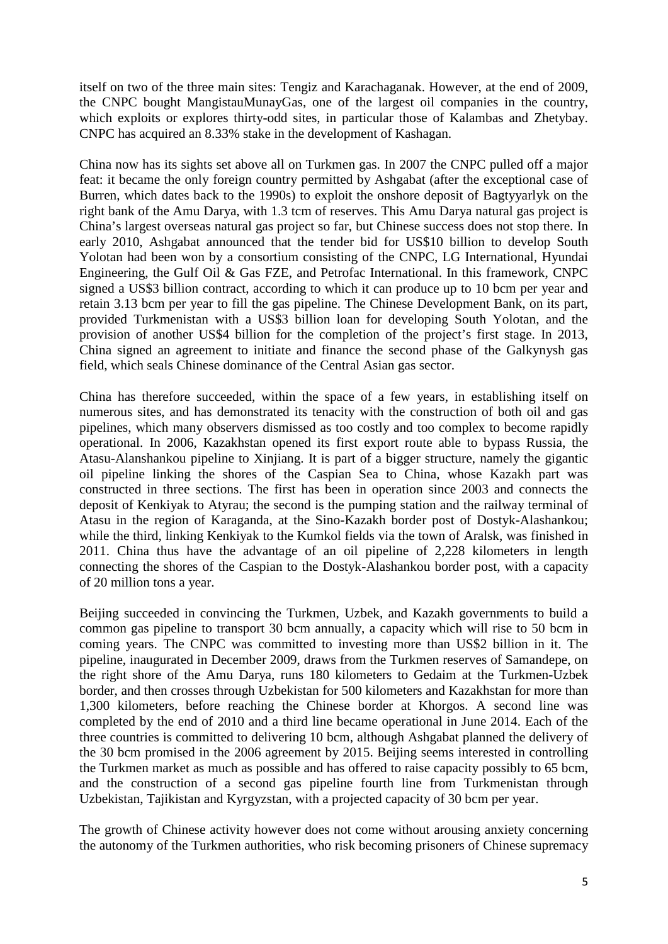itself on two of the three main sites: Tengiz and Karachaganak. However, at the end of 2009, the CNPC bought MangistauMunayGas, one of the largest oil companies in the country, which exploits or explores thirty-odd sites, in particular those of Kalambas and Zhetybay. CNPC has acquired an 8.33% stake in the development of Kashagan.

China now has its sights set above all on Turkmen gas. In 2007 the CNPC pulled off a major feat: it became the only foreign country permitted by Ashgabat (after the exceptional case of Burren, which dates back to the 1990s) to exploit the onshore deposit of Bagtyyarlyk on the right bank of the Amu Darya, with 1.3 tcm of reserves. This Amu Darya natural gas project is China's largest overseas natural gas project so far, but Chinese success does not stop there. In early 2010, Ashgabat announced that the tender bid for US\$10 billion to develop South Yolotan had been won by a consortium consisting of the CNPC, LG International, Hyundai Engineering, the Gulf Oil & Gas FZE, and Petrofac International. In this framework, CNPC signed a US\$3 billion contract, according to which it can produce up to 10 bcm per year and retain 3.13 bcm per year to fill the gas pipeline. The Chinese Development Bank, on its part, provided Turkmenistan with a US\$3 billion loan for developing South Yolotan, and the provision of another US\$4 billion for the completion of the project's first stage. In 2013, China signed an agreement to initiate and finance the second phase of the Galkynysh gas field, which seals Chinese dominance of the Central Asian gas sector.

China has therefore succeeded, within the space of a few years, in establishing itself on numerous sites, and has demonstrated its tenacity with the construction of both oil and gas pipelines, which many observers dismissed as too costly and too complex to become rapidly operational. In 2006, Kazakhstan opened its first export route able to bypass Russia, the Atasu-Alanshankou pipeline to Xinjiang. It is part of a bigger structure, namely the gigantic oil pipeline linking the shores of the Caspian Sea to China, whose Kazakh part was constructed in three sections. The first has been in operation since 2003 and connects the deposit of Kenkiyak to Atyrau; the second is the pumping station and the railway terminal of Atasu in the region of Karaganda, at the Sino-Kazakh border post of Dostyk-Alashankou; while the third, linking Kenkiyak to the Kumkol fields via the town of Aralsk, was finished in 2011. China thus have the advantage of an oil pipeline of 2,228 kilometers in length connecting the shores of the Caspian to the Dostyk-Alashankou border post, with a capacity of 20 million tons a year.

Beijing succeeded in convincing the Turkmen, Uzbek, and Kazakh governments to build a common gas pipeline to transport 30 bcm annually, a capacity which will rise to 50 bcm in coming years. The CNPC was committed to investing more than US\$2 billion in it. The pipeline, inaugurated in December 2009, draws from the Turkmen reserves of Samandepe, on the right shore of the Amu Darya, runs 180 kilometers to Gedaim at the Turkmen-Uzbek border, and then crosses through Uzbekistan for 500 kilometers and Kazakhstan for more than 1,300 kilometers, before reaching the Chinese border at Khorgos. A second line was completed by the end of 2010 and a third line became operational in June 2014. Each of the three countries is committed to delivering 10 bcm, although Ashgabat planned the delivery of the 30 bcm promised in the 2006 agreement by 2015. Beijing seems interested in controlling the Turkmen market as much as possible and has offered to raise capacity possibly to 65 bcm, and the construction of a second gas pipeline fourth line from Turkmenistan through Uzbekistan, Tajikistan and Kyrgyzstan, with a projected capacity of 30 bcm per year.

The growth of Chinese activity however does not come without arousing anxiety concerning the autonomy of the Turkmen authorities, who risk becoming prisoners of Chinese supremacy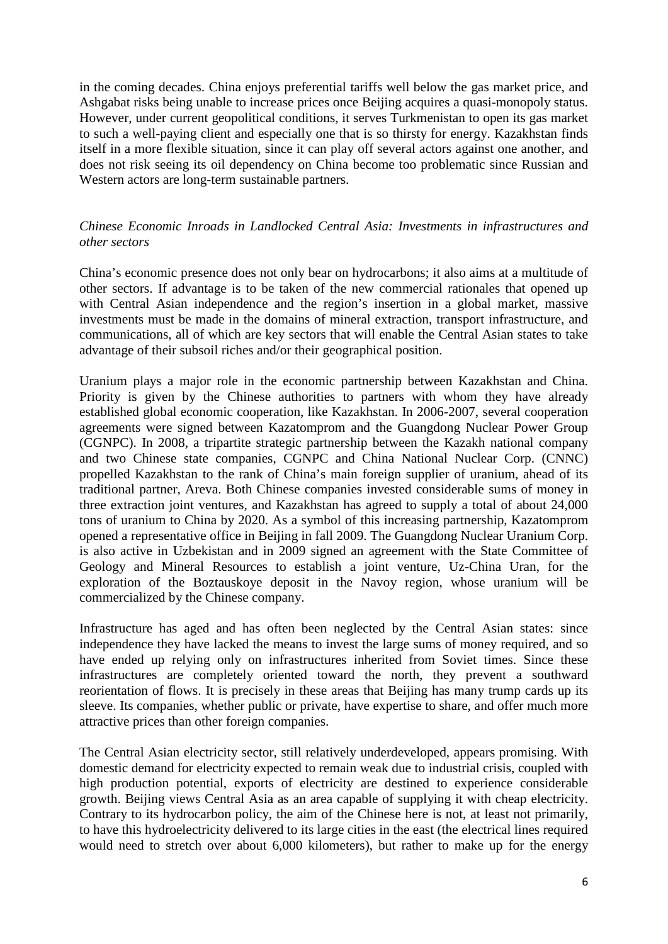in the coming decades. China enjoys preferential tariffs well below the gas market price, and Ashgabat risks being unable to increase prices once Beijing acquires a quasi-monopoly status. However, under current geopolitical conditions, it serves Turkmenistan to open its gas market to such a well-paying client and especially one that is so thirsty for energy. Kazakhstan finds itself in a more flexible situation, since it can play off several actors against one another, and does not risk seeing its oil dependency on China become too problematic since Russian and Western actors are long-term sustainable partners.

# *Chinese Economic Inroads in Landlocked Central Asia: Investments in infrastructures and other sectors*

China's economic presence does not only bear on hydrocarbons; it also aims at a multitude of other sectors. If advantage is to be taken of the new commercial rationales that opened up with Central Asian independence and the region's insertion in a global market, massive investments must be made in the domains of mineral extraction, transport infrastructure, and communications, all of which are key sectors that will enable the Central Asian states to take advantage of their subsoil riches and/or their geographical position.

Uranium plays a major role in the economic partnership between Kazakhstan and China. Priority is given by the Chinese authorities to partners with whom they have already established global economic cooperation, like Kazakhstan. In 2006-2007, several cooperation agreements were signed between Kazatomprom and the Guangdong Nuclear Power Group (CGNPC). In 2008, a tripartite strategic partnership between the Kazakh national company and two Chinese state companies, CGNPC and China National Nuclear Corp. (CNNC) propelled Kazakhstan to the rank of China's main foreign supplier of uranium, ahead of its traditional partner, Areva. Both Chinese companies invested considerable sums of money in three extraction joint ventures, and Kazakhstan has agreed to supply a total of about 24,000 tons of uranium to China by 2020. As a symbol of this increasing partnership, Kazatomprom opened a representative office in Beijing in fall 2009. The Guangdong Nuclear Uranium Corp. is also active in Uzbekistan and in 2009 signed an agreement with the State Committee of Geology and Mineral Resources to establish a joint venture, Uz-China Uran, for the exploration of the Boztauskoye deposit in the Navoy region, whose uranium will be commercialized by the Chinese company.

Infrastructure has aged and has often been neglected by the Central Asian states: since independence they have lacked the means to invest the large sums of money required, and so have ended up relying only on infrastructures inherited from Soviet times. Since these infrastructures are completely oriented toward the north, they prevent a southward reorientation of flows. It is precisely in these areas that Beijing has many trump cards up its sleeve. Its companies, whether public or private, have expertise to share, and offer much more attractive prices than other foreign companies.

The Central Asian electricity sector, still relatively underdeveloped, appears promising. With domestic demand for electricity expected to remain weak due to industrial crisis, coupled with high production potential, exports of electricity are destined to experience considerable growth. Beijing views Central Asia as an area capable of supplying it with cheap electricity. Contrary to its hydrocarbon policy, the aim of the Chinese here is not, at least not primarily, to have this hydroelectricity delivered to its large cities in the east (the electrical lines required would need to stretch over about 6,000 kilometers), but rather to make up for the energy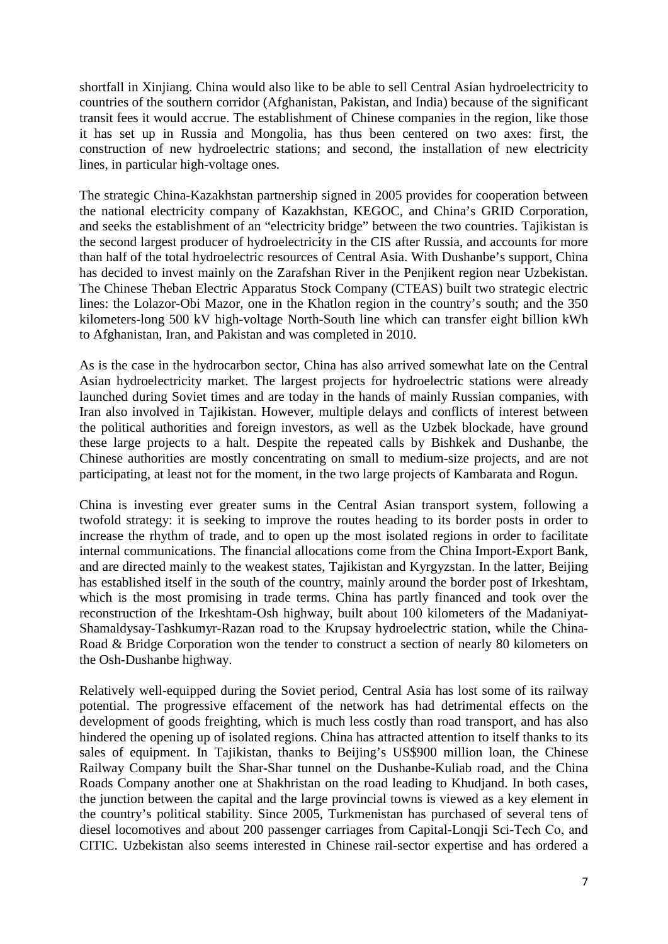shortfall in Xinjiang. China would also like to be able to sell Central Asian hydroelectricity to countries of the southern corridor (Afghanistan, Pakistan, and India) because of the significant transit fees it would accrue. The establishment of Chinese companies in the region, like those it has set up in Russia and Mongolia, has thus been centered on two axes: first, the construction of new hydroelectric stations; and second, the installation of new electricity lines, in particular high-voltage ones.

The strategic China-Kazakhstan partnership signed in 2005 provides for cooperation between the national electricity company of Kazakhstan, KEGOC, and China's GRID Corporation, and seeks the establishment of an "electricity bridge" between the two countries. Tajikistan is the second largest producer of hydroelectricity in the CIS after Russia, and accounts for more than half of the total hydroelectric resources of Central Asia. With Dushanbe's support, China has decided to invest mainly on the Zarafshan River in the Penjikent region near Uzbekistan. The Chinese Theban Electric Apparatus Stock Company (CTEAS) built two strategic electric lines: the Lolazor-Obi Mazor, one in the Khatlon region in the country's south; and the 350 kilometers-long 500 kV high-voltage North-South line which can transfer eight billion kWh to Afghanistan, Iran, and Pakistan and was completed in 2010.

As is the case in the hydrocarbon sector, China has also arrived somewhat late on the Central Asian hydroelectricity market. The largest projects for hydroelectric stations were already launched during Soviet times and are today in the hands of mainly Russian companies, with Iran also involved in Tajikistan. However, multiple delays and conflicts of interest between the political authorities and foreign investors, as well as the Uzbek blockade, have ground these large projects to a halt. Despite the repeated calls by Bishkek and Dushanbe, the Chinese authorities are mostly concentrating on small to medium-size projects, and are not participating, at least not for the moment, in the two large projects of Kambarata and Rogun.

China is investing ever greater sums in the Central Asian transport system, following a twofold strategy: it is seeking to improve the routes heading to its border posts in order to increase the rhythm of trade, and to open up the most isolated regions in order to facilitate internal communications. The financial allocations come from the China Import-Export Bank, and are directed mainly to the weakest states, Tajikistan and Kyrgyzstan. In the latter, Beijing has established itself in the south of the country, mainly around the border post of Irkeshtam, which is the most promising in trade terms. China has partly financed and took over the reconstruction of the Irkeshtam-Osh highway, built about 100 kilometers of the Madaniyat-Shamaldysay-Tashkumyr-Razan road to the Krupsay hydroelectric station, while the China-Road & Bridge Corporation won the tender to construct a section of nearly 80 kilometers on the Osh-Dushanbe highway.

Relatively well-equipped during the Soviet period, Central Asia has lost some of its railway potential. The progressive effacement of the network has had detrimental effects on the development of goods freighting, which is much less costly than road transport, and has also hindered the opening up of isolated regions. China has attracted attention to itself thanks to its sales of equipment. In Tajikistan, thanks to Beijing's US\$900 million loan, the Chinese Railway Company built the Shar-Shar tunnel on the Dushanbe-Kuliab road, and the China Roads Company another one at Shakhristan on the road leading to Khudjand. In both cases, the junction between the capital and the large provincial towns is viewed as a key element in the country's political stability. Since 2005, Turkmenistan has purchased of several tens of diesel locomotives and about 200 passenger carriages from Capital-Longii Sci-Tech Co, and CITIC. Uzbekistan also seems interested in Chinese rail-sector expertise and has ordered a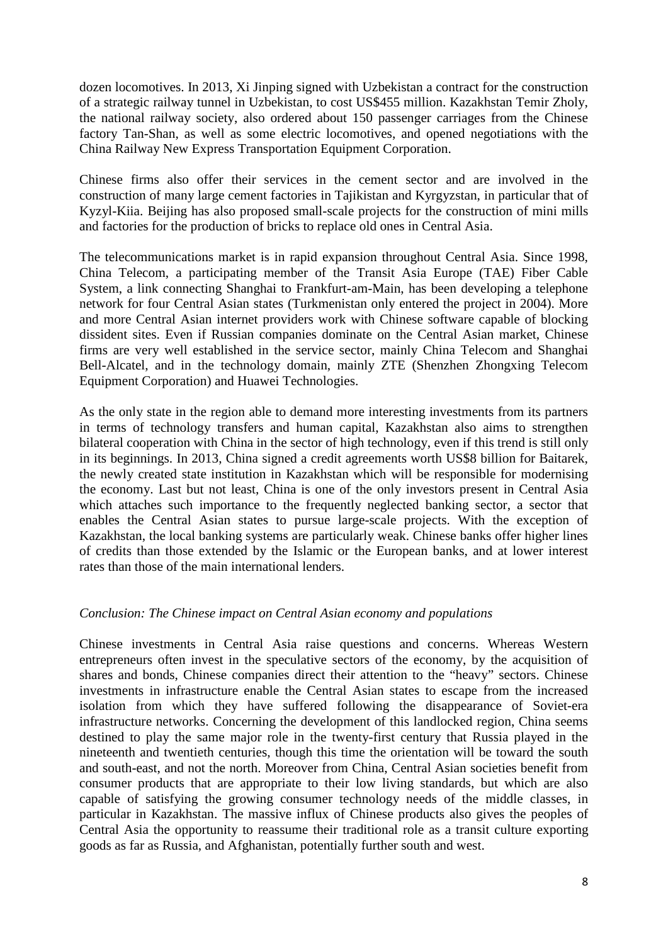dozen locomotives. In 2013, Xi Jinping signed with Uzbekistan a contract for the construction of a strategic railway tunnel in Uzbekistan, to cost US\$455 million. Kazakhstan Temir Zholy, the national railway society, also ordered about 150 passenger carriages from the Chinese factory Tan-Shan, as well as some electric locomotives, and opened negotiations with the China Railway New Express Transportation Equipment Corporation.

Chinese firms also offer their services in the cement sector and are involved in the construction of many large cement factories in Tajikistan and Kyrgyzstan, in particular that of Kyzyl-Kiia. Beijing has also proposed small-scale projects for the construction of mini mills and factories for the production of bricks to replace old ones in Central Asia.

The telecommunications market is in rapid expansion throughout Central Asia. Since 1998, China Telecom, a participating member of the Transit Asia Europe (TAE) Fiber Cable System, a link connecting Shanghai to Frankfurt-am-Main, has been developing a telephone network for four Central Asian states (Turkmenistan only entered the project in 2004). More and more Central Asian internet providers work with Chinese software capable of blocking dissident sites. Even if Russian companies dominate on the Central Asian market, Chinese firms are very well established in the service sector, mainly China Telecom and Shanghai Bell-Alcatel, and in the technology domain, mainly ZTE (Shenzhen Zhongxing Telecom Equipment Corporation) and Huawei Technologies.

As the only state in the region able to demand more interesting investments from its partners in terms of technology transfers and human capital, Kazakhstan also aims to strengthen bilateral cooperation with China in the sector of high technology, even if this trend is still only in its beginnings. In 2013, China signed a credit agreements worth US\$8 billion for Baitarek, the newly created state institution in Kazakhstan which will be responsible for modernising the economy. Last but not least, China is one of the only investors present in Central Asia which attaches such importance to the frequently neglected banking sector, a sector that enables the Central Asian states to pursue large-scale projects. With the exception of Kazakhstan, the local banking systems are particularly weak. Chinese banks offer higher lines of credits than those extended by the Islamic or the European banks, and at lower interest rates than those of the main international lenders.

## *Conclusion: The Chinese impact on Central Asian economy and populations*

Chinese investments in Central Asia raise questions and concerns. Whereas Western entrepreneurs often invest in the speculative sectors of the economy, by the acquisition of shares and bonds, Chinese companies direct their attention to the "heavy" sectors. Chinese investments in infrastructure enable the Central Asian states to escape from the increased isolation from which they have suffered following the disappearance of Soviet-era infrastructure networks. Concerning the development of this landlocked region, China seems destined to play the same major role in the twenty-first century that Russia played in the nineteenth and twentieth centuries, though this time the orientation will be toward the south and south-east, and not the north. Moreover from China, Central Asian societies benefit from consumer products that are appropriate to their low living standards, but which are also capable of satisfying the growing consumer technology needs of the middle classes, in particular in Kazakhstan. The massive influx of Chinese products also gives the peoples of Central Asia the opportunity to reassume their traditional role as a transit culture exporting goods as far as Russia, and Afghanistan, potentially further south and west.